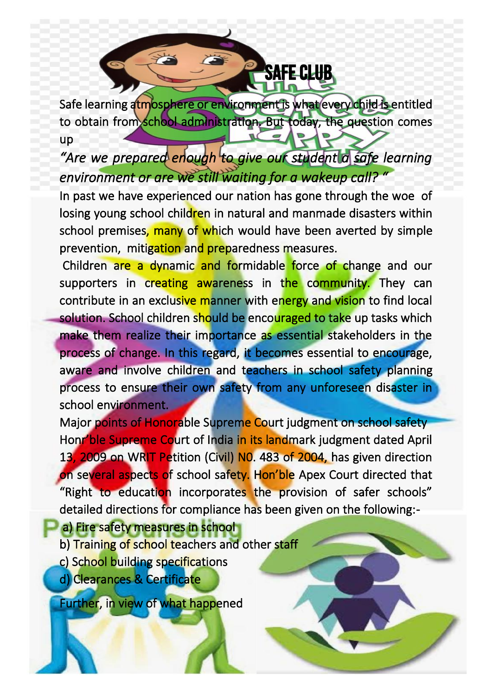## **SAFE CLUB**

Safe learning atmosphere or environment is what every child is entitled to obtain from school administration. But today, the question comes up

*"Are we prepared enough to give our student a safe learning environment or are we still waiting for a wakeup call? "* 

In past we have experienced our nation has gone through the woe of losing young school children in natural and manmade disasters within school premises, many of which would have been averted by simple prevention, mitigation and preparedness measures.

 Children are a dynamic and formidable force of change and our supporters in creating awareness in the community. They can contribute in an exclusive manner with energy and vision to find local solution. School children should be encouraged to take up tasks which make them realize their importance as essential stakeholders in the process of change. In this regard, it becomes essential to encourage, aware and involve children and teachers in school safety planning process to ensure their own safety from any unforeseen disaster in school environment.

Major points of Honorable Supreme Court judgment on school safety Honr'ble Supreme Court of India in its landmark judgment dated April 13, 2009 on WRIT Petition (Civil) N0. 483 of 2004, has given direction on several aspects of school safety. Hon'ble Apex Court directed that "Right to education incorporates the provision of safer schools" detailed directions for compliance has been given on the following:-

**a) Fire safety measures in school** 

- b) Training of school teachers and other staff
- c) School building specifications
- d) Clearances & Certificate

Further, in view of what happened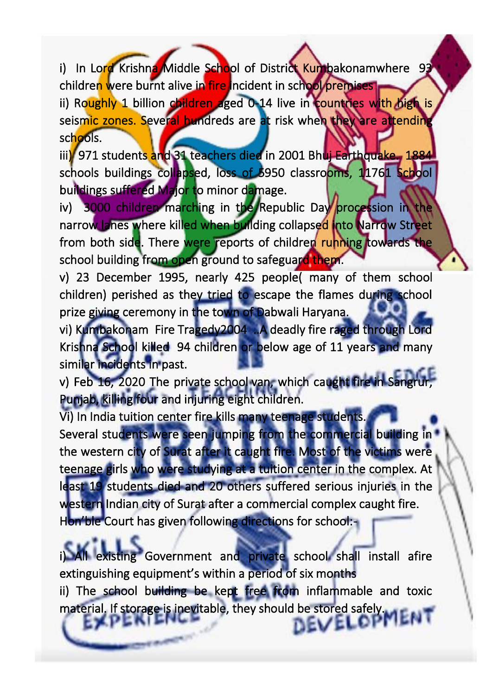i) In Lord Krishna Middle School of District Kumbakonamwhere 93 children were burnt alive in fire incident in school premises ii) Roughly 1 billion children aged 0-14 live in countries with high is seismic zones. Several hundreds are at risk when they are attending schools.

iii) 971 students and 31 teachers died in 2001 Bhuj Earthquake. 1884 schools buildings collapsed, loss of 5950 classrooms, 11761 School buildings suffered Major to minor damage.

iv) 3000 children marching in the Republic Day procession in the narrow lanes where killed when building collapsed into Narrow Street from both side. There were reports of children running towards the school building from open ground to safeguard them.

v) 23 December 1995, nearly 425 people( many of them school children) perished as they tried to escape the flames during school prize giving ceremony in the town of Dabwali Haryana.

vi) Kumbakonam Fire Tragedy2004 ..A deadly fire raged through Lord Krishna School killed 94 children or below age of 11 years and many similar incidents in past.

v) Feb 16, 2020 The private school van, which caught fire in Sangr Punjab, killing four and injuring eight children.

Vi) In India tuition center fire kills many teenage students. Several students were seen jumping from the commercial building in the western city of Surat after it caught fire. Most of the victims were teenage girls who were studying at a tuition center in the complex. At least 19 students died and 20 others suffered serious injuries in the western Indian city of Surat after a commercial complex caught fire. Hon'ble Court has given following directions for school:-

All existing Government and private school shall install afire extinguishing equipment's within a period of six months ii) The school building be kept free from inflammable and toxic material. If storage is inevitable, they should be stored safely. nevelor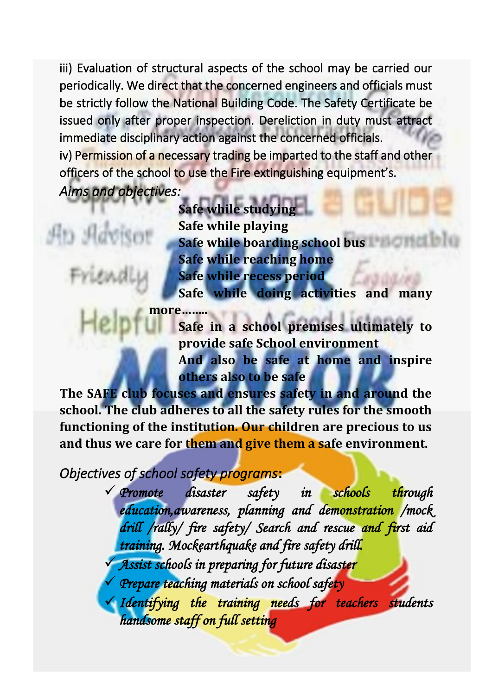iii) Evaluation of structural aspects of the school may be carried our periodically. We direct that the concerned engineers and officials must be strictly follow the National Building Code. The Safety Certificate be issued only after proper inspection. Dereliction in duty must attract immediate disciplinary action against the concerned officials. iv) Permission of a necessary trading be imparted to the staff and other officers of the school to use the Fire extinguishing equipment's. *Aims and objectives:* 

## Ap Ao

**Safe while studying Safe while playing Safe while boarding school bus Safe while reaching home Safe while recess period Safe while doing activities and many** 

more.. **Safe in a school premises ultimately to provide safe School environment And also be safe at home and inspire others also to be safe**

**The SAFE club focuses and ensures safety in and around the school. The club adheres to all the safety rules for the smooth functioning of the institution. Our children are precious to us and thus we care for them and give them a safe environment.**

*Objectives of school safety programs***:**

✓ *Promote disaster safety in schools through education,awareness, planning and demonstration /mock drill /rally/ fire safety/ Search and rescue and first aid training. Mockearthquake and fire safety drill.* 

✓ *Assist schools in preparing for future disaster* 

*Prepare teaching materials on school safety* 

✓ *Identifying the training needs for teachers students handsome staff on full setting*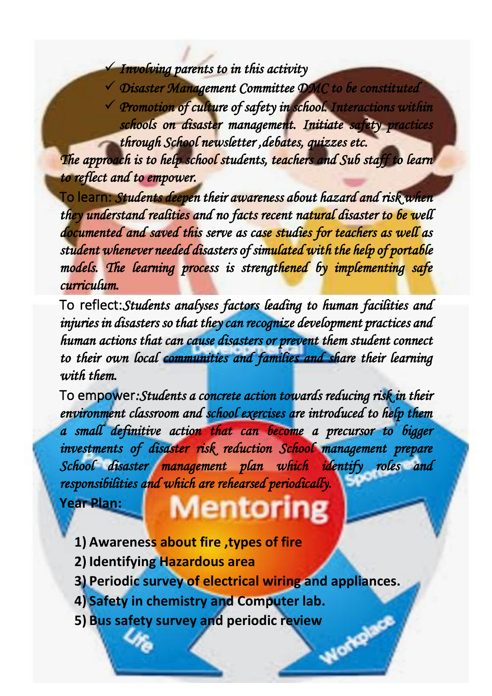✓ *Involving parents to in this activity* 

✓ *Disaster Management Committee DMC to be constituted*  ✓ *Promotion of culture of safety in school. Interactions within schools on disaster management. Initiate safety practices through School newsletter ,debates, quizzes etc.* 

*The approach is to help school students, teachers and Sub staff to learn to reflect and to empower.* 

To learn: *Students deepen their awareness about hazard and risk when they understand realities and no facts recent natural disaster to be well documented and saved this serve as case studies for teachers as well as student whenever needed disasters of simulated with the help of portable models. The learning process is strengthened by implementing safe curriculum.* 

To reflect:*Students analyses factors leading to human facilities and injuries in disasters so that they can recognize development practices and human actions that can cause disasters or prevent them student connect to their own local communities and families and share their learning with them.* 

To empower*:Students a concrete action towards reducing risk in their environment classroom and school exercises are introduced to help them a small definitive action that can become a precursor to bigger investments of disaster risk reduction School management prepare School disaster management plan which identify roles and responsibilities and which are rehearsed periodically.* 

**Year Plan:**

## Mentor

- **1) Awareness about fire ,types of fire**
- **2) Identifying Hazardous area**
- **3) Periodic survey of electrical wiring and appliances.**
- 
- **4) Safety in chemistry and Computer lab.**<br> **5) Bus safety survey and periodic review 5) Bus safety survey and periodic review**